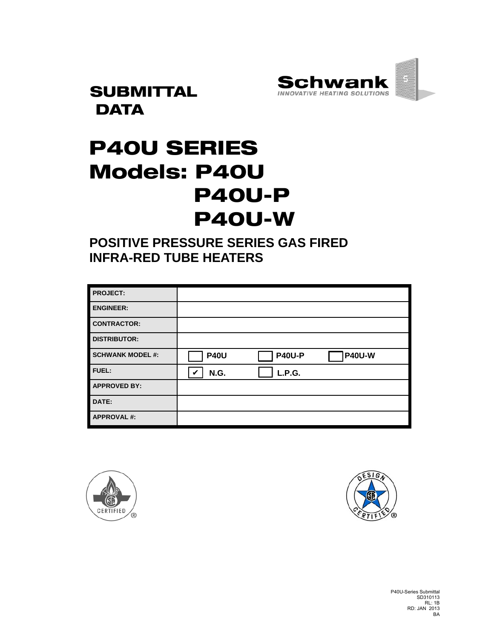

**SUBMITTAL DATA** 

# P40U SERIES Models: P40U P40U-P P40U-W

**POSITIVE PRESSURE SERIES GAS FIRED INFRA-RED TUBE HEATERS** 

| <b>PROJECT:</b>         |             |               |               |
|-------------------------|-------------|---------------|---------------|
| <b>ENGINEER:</b>        |             |               |               |
| <b>CONTRACTOR:</b>      |             |               |               |
| <b>DISTRIBUTOR:</b>     |             |               |               |
| <b>SCHWANK MODEL #:</b> | <b>P40U</b> | <b>P40U-P</b> | <b>P40U-W</b> |
| FUEL:                   | N.G.<br>V   | L.P.G.        |               |
| <b>APPROVED BY:</b>     |             |               |               |
| DATE:                   |             |               |               |
| <b>APPROVAL#:</b>       |             |               |               |





P40U-Series Submittal SD310113 RL: 1B RD: JAN 2013 BA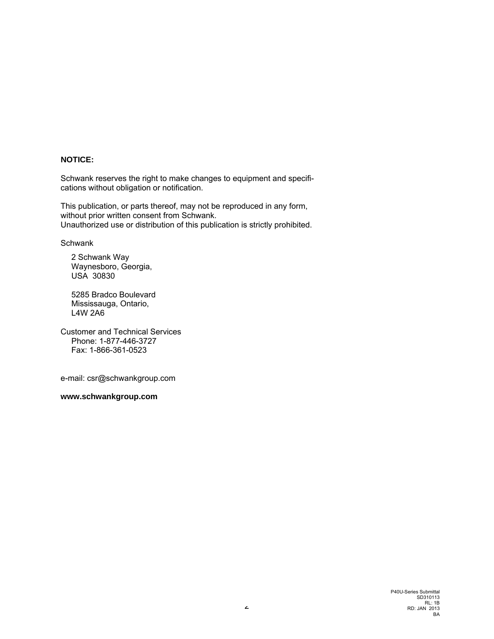#### **NOTICE:**

Schwank reserves the right to make changes to equipment and specifications without obligation or notification.

This publication, or parts thereof, may not be reproduced in any form, without prior written consent from Schwank. Unauthorized use or distribution of this publication is strictly prohibited.

**Schwank** 

2 Schwank Way Waynesboro, Georgia, USA 30830

5285 Bradco Boulevard Mississauga, Ontario, L4W 2A6

Customer and Technical Services Phone: 1-877-446-3727 Fax: 1-866-361-0523

e-mail: csr@schwankgroup.com

**www.schwankgroup.com**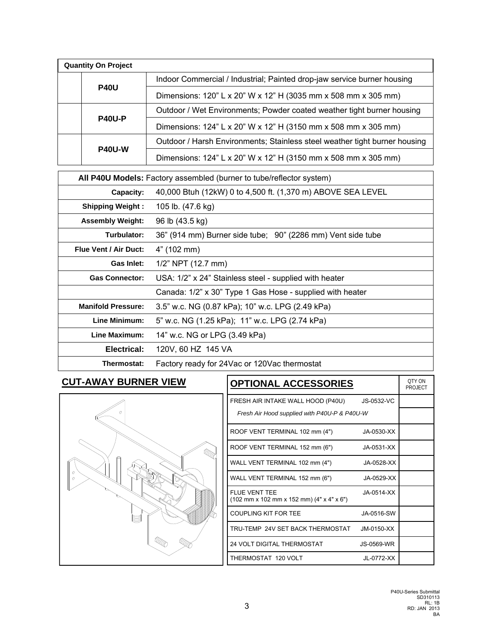| <b>Quantity On Project</b> |                                                                            |  |  |  |  |
|----------------------------|----------------------------------------------------------------------------|--|--|--|--|
|                            | Indoor Commercial / Industrial; Painted drop-jaw service burner housing    |  |  |  |  |
| <b>P40U</b>                | Dimensions: 120" L x 20" W x 12" H (3035 mm x 508 mm x 305 mm)             |  |  |  |  |
|                            | Outdoor / Wet Environments; Powder coated weather tight burner housing     |  |  |  |  |
| <b>P40U-P</b>              | Dimensions: 124" L x 20" W x 12" H (3150 mm x 508 mm x 305 mm)             |  |  |  |  |
| <b>P40U-W</b>              | Outdoor / Harsh Environments; Stainless steel weather tight burner housing |  |  |  |  |
|                            | Dimensions: 124" L x 20" W x 12" H (3150 mm x 508 mm x 305 mm)             |  |  |  |  |

| All P40U Models: Factory assembled (burner to tube/reflector system) |                                                             |  |  |
|----------------------------------------------------------------------|-------------------------------------------------------------|--|--|
| Capacity:                                                            | 40,000 Btuh (12kW) 0 to 4,500 ft. (1,370 m) ABOVE SEA LEVEL |  |  |
| <b>Shipping Weight:</b>                                              | 105 lb. (47.6 kg)                                           |  |  |
| <b>Assembly Weight:</b>                                              | 96 lb (43.5 kg)                                             |  |  |
| Turbulator:                                                          | 36" (914 mm) Burner side tube; 90" (2286 mm) Vent side tube |  |  |
| <b>Flue Vent / Air Duct:</b>                                         | 4" (102 mm)                                                 |  |  |
| <b>Gas Inlet:</b>                                                    | 1/2" NPT (12.7 mm)                                          |  |  |
| <b>Gas Connector:</b>                                                | USA: 1/2" x 24" Stainless steel - supplied with heater      |  |  |
|                                                                      | Canada: 1/2" x 30" Type 1 Gas Hose - supplied with heater   |  |  |
| <b>Manifold Pressure:</b>                                            | 3.5" w.c. NG (0.87 kPa); 10" w.c. LPG (2.49 kPa)            |  |  |
| Line Minimum:                                                        | 5" w.c. NG (1.25 kPa); 11" w.c. LPG (2.74 kPa)              |  |  |
| Line Maximum:                                                        | 14" w.c. NG or LPG (3.49 kPa)                               |  |  |
| Electrical:                                                          | 120V, 60 HZ 145 VA                                          |  |  |
| Thermostat:                                                          | Factory ready for 24 Vac or 120 Vac thermostat              |  |  |

## **CUT-AWAY BURNER VIEW**



| <b>OPTIONAL ACCESSORIES</b>                                | OTY ON<br>PROJECT |  |
|------------------------------------------------------------|-------------------|--|
| FRESH AIR INTAKE WALL HOOD (P40U)                          | JS-0532-VC        |  |
| Fresh Air Hood supplied with P40U-P & P40U-W               |                   |  |
| ROOF VENT TERMINAL 102 mm (4")                             | JA-0530-XX        |  |
| ROOF VENT TERMINAL 152 mm (6")                             | JA-0531-XX        |  |
| WALL VENT TERMINAL 102 mm (4")                             | JA-0528-XX        |  |
| WALL VENT TERMINAL 152 mm (6")                             | JA-0529-XX        |  |
| FLUE VENT TEE<br>(102 mm x 102 mm x 152 mm) (4" x 4" x 6") | $JA-0514-XX$      |  |
| COUPLING KIT FOR TEE                                       | JA-0516-SW        |  |
| TRU-TEMP 24V SET BACK THERMOSTAT                           | $JM$ -0150- $XX$  |  |
| <b>24 VOLT DIGITAL THERMOSTAT</b>                          | JS-0569-WR        |  |
| THERMOSTAT 120 VOLT                                        | JL-0772-XX        |  |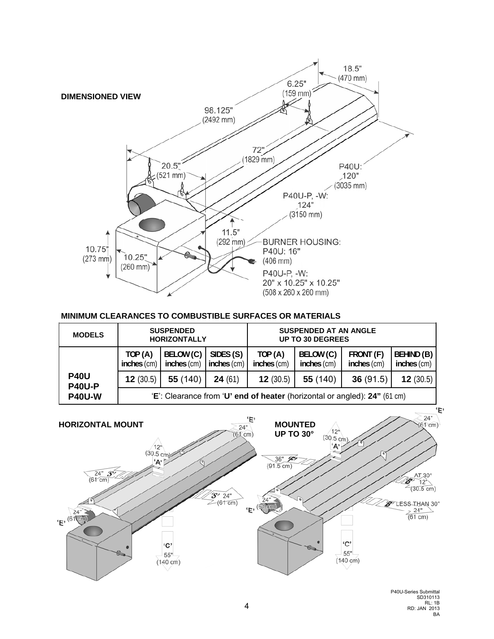

### **MINIMUM CLEARANCES TO COMBUSTIBLE SURFACES OR MATERIALS**

| <b>MODELS</b>                | <b>SUSPENDED</b><br><b>HORIZONTALLY</b>                                   |                          |                          | <b>SUSPENDED AT AN ANGLE</b><br><b>UP TO 30 DEGREES</b> |                          |                            |                                  |
|------------------------------|---------------------------------------------------------------------------|--------------------------|--------------------------|---------------------------------------------------------|--------------------------|----------------------------|----------------------------------|
|                              | TOP(A)<br>inches (cm)                                                     | BELOW (C)<br>inches (cm) | SIDES (S)<br>inches (cm) | TOP(A)<br>inches (cm)                                   | BELOW (C)<br>inches (cm) | FRONT (F)<br>$inches$ (cm) | <b>BEHIND (B)</b><br>inches (cm) |
| <b>P40U</b><br><b>P40U-P</b> | 12(30.5)                                                                  | 55 (140)                 | <b>24</b> (61)           | <b>12</b> (30.5)                                        | 55 (140)                 | 36(91.5)                   | <b>12</b> (30.5)                 |
| <b>P40U-W</b>                | 'E': Clearance from 'U' end of heater (horizontal or angled): 24" (61 cm) |                          |                          |                                                         |                          |                            |                                  |